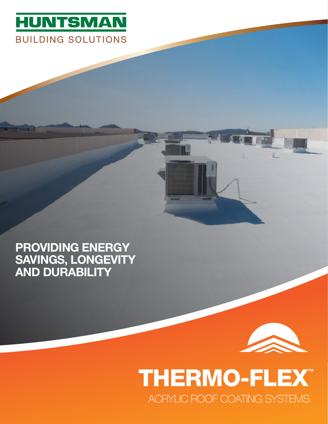

### PROVIDING ENERGY SAVINGS, LONGEVITY AND DURABILITY

# THERMO-FLEX™ ACRYLIC ROOF COATING SYSTEMS